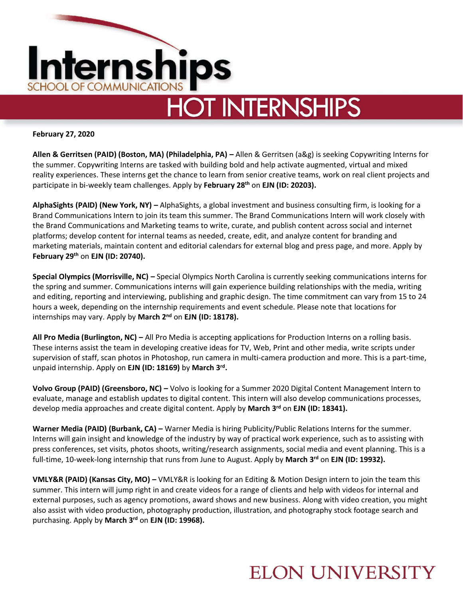

**February 27, 2020**

**Allen & Gerritsen (PAID) (Boston, MA) (Philadelphia, PA) –** Allen & Gerritsen (a&g) is seeking Copywriting Interns for the summer. Copywriting Interns are tasked with building bold and help activate augmented, virtual and mixed reality experiences. These interns get the chance to learn from senior creative teams, work on real client projects and participate in bi-weekly team challenges. Apply by **February 28th** on **EJN (ID: 20203).** 

**AlphaSights (PAID) (New York, NY) –** AlphaSights, a global investment and business consulting firm, is looking for a Brand Communications Intern to join its team this summer. The Brand Communications Intern will work closely with the Brand Communications and Marketing teams to write, curate, and publish content across social and internet platforms; develop content for internal teams as needed, create, edit, and analyze content for branding and marketing materials, maintain content and editorial calendars for external blog and press page, and more. Apply by **February 29th** on **EJN (ID: 20740).**

**Special Olympics (Morrisville, NC) –** Special Olympics North Carolina is currently seeking communications interns for the spring and summer. Communications interns will gain experience building relationships with the media, writing and editing, reporting and interviewing, publishing and graphic design. The time commitment can vary from 15 to 24 hours a week, depending on the internship requirements and event schedule. Please note that locations for internships may vary. Apply by **March 2nd** on **EJN (ID: 18178).** 

**All Pro Media (Burlington, NC) –** All Pro Media is accepting applications for Production Interns on a rolling basis. These interns assist the team in developing creative ideas for TV, Web, Print and other media, write scripts under supervision of staff, scan photos in Photoshop, run camera in multi-camera production and more. This is a part-time, unpaid internship. Apply on **EJN (ID: 18169)** by **March 3rd .** 

**Volvo Group (PAID) (Greensboro, NC) –** Volvo is looking for a Summer 2020 Digital Content Management Intern to evaluate, manage and establish updates to digital content. This intern will also develop communications processes, develop media approaches and create digital content. Apply by **March 3rd** on **EJN (ID: 18341).**

**Warner Media (PAID) (Burbank, CA) –** Warner Media is hiring Publicity/Public Relations Interns for the summer. Interns will gain insight and knowledge of the industry by way of practical work experience, such as to assisting with press conferences, set visits, photos shoots, writing/research assignments, social media and event planning. This is a full-time, 10-week-long internship that runs from June to August. Apply by **March 3rd** on **EJN (ID: 19932).** 

**VMLY&R (PAID) (Kansas City, MO) –** VMLY&R is looking for an Editing & Motion Design intern to join the team this summer. This intern will jump right in and create videos for a range of clients and help with videos for internal and external purposes, such as agency promotions, award shows and new business. Along with video creation, you might also assist with video production, photography production, illustration, and photography stock footage search and purchasing. Apply by **March 3rd** on **EJN (ID: 19968).**

### **ELON UNIVERSITY**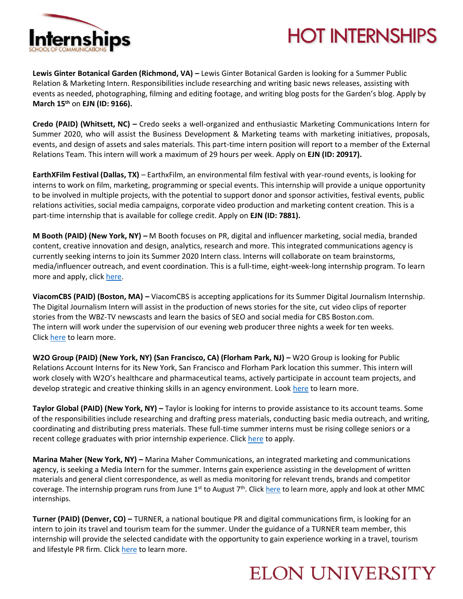

# **HOT INTERNSHIPS**

**Lewis Ginter Botanical Garden (Richmond, VA) –** Lewis Ginter Botanical Garden is looking for a Summer Public Relation & Marketing Intern. Responsibilities include researching and writing basic news releases, assisting with events as needed, photographing, filming and editing footage, and writing blog posts for the Garden's blog. Apply by **March 15th** on **EJN (ID: 9166).** 

**Credo (PAID) (Whitsett, NC) –** Credo seeks a well-organized and enthusiastic Marketing Communications Intern for Summer 2020, who will assist the Business Development & Marketing teams with marketing initiatives, proposals, events, and design of assets and sales materials. This part-time intern position will report to a member of the External Relations Team. This intern will work a maximum of 29 hours per week. Apply on **EJN (ID: 20917).**

**EarthXFilm Festival (Dallas, TX)** – EarthxFilm, an environmental film festival with year-round events, is looking for interns to work on film, marketing, programming or special events. This internship will provide a unique opportunity to be involved in multiple projects, with the potential to support donor and sponsor activities, festival events, public relations activities, social media campaigns, corporate video production and marketing content creation. This is a part-time internship that is available for college credit. Apply on **EJN (ID: 7881).** 

**M Booth (PAID) (New York, NY) –** M Booth focuses on PR, digital and influencer marketing, social media, branded content, creative innovation and design, analytics, research and more. This integrated communications agency is currently seeking interns to join its Summer 2020 Intern class. Interns will collaborate on team brainstorms, media/influencer outreach, and event coordination. This is a full-time, eight-week-long internship program. To learn more and apply, click [here.](https://boards.greenhouse.io/mbooth/jobs/4645284002)

**ViacomCBS (PAID) (Boston, MA) –** ViacomCBS is accepting applications for its Summer Digital Journalism Internship. The Digital Journalism Intern will assist in the production of news stories for the site, cut video clips of reporter stories from the WBZ-TV newscasts and learn the basics of SEO and social media for CBS Boston.com. The intern will work under the supervision of our evening web producer three nights a week for ten weeks. Clic[k here](https://viacomcbs.careers/boston-ma/digital-journalism-internship-summer/96EE1ADD48E544FB9862B31C69E53D84/job/?utm_medium=Social%20Media&utm_campaign=LinkedIn.com&utm_source=LinkedIn.com-DE&vs=1606) to learn more.

**W2O Group (PAID) (New York, NY) (San Francisco, CA) (Florham Park, NJ) –** W2O Group is looking for Public Relations Account Interns for its New York, San Francisco and Florham Park location this summer. This intern will work closely with W2O's healthcare and pharmaceutical teams, actively participate in account team projects, and develop strategic and creative thinking skills in an agency environment. Look [here](https://www.w2ogroup.com/apply/?gh_jid=4544511002&gh_src=9e21b58e2) to learn more.

**Taylor Global (PAID) (New York, NY) –** Taylor is looking for interns to provide assistance to its account teams. Some of the responsibilities include researching and drafting press materials, conducting basic media outreach, and writing, coordinating and distributing press materials. These full-time summer interns must be rising college seniors or a recent college graduates with prior internship experience. Click [here](https://boards.greenhouse.io/taylorstrategy/jobs/4662990002?gh_src=b84b1da42) to apply.

**Marina Maher (New York, NY) –** Marina Maher Communications, an integrated marketing and communications agency, is seeking a Media Intern for the summer. Interns gain experience assisting in the development of written materials and general client correspondence, as well as media monitoring for relevant trends, brands and competitor coverage. The internship program runs from June  $1^{st}$  to August  $7^{th}$ . Clic[k here](http://www.hellommc.com/careers/?__jvst=Job%20Board&__jvsd=LinkedInFree&nl=1) to learn more, apply and look at other MMC internships.

**Turner (PAID) (Denver, CO) –** TURNER, a national boutique PR and digital communications firm, is looking for an intern to join its travel and tourism team for the summer. Under the guidance of a TURNER team member, this internship will provide the selected candidate with the opportunity to gain experience working in a travel, tourism and lifestyle PR firm. Click [here](https://boards.greenhouse.io/turner/jobs/4022414003?gh_src=80b223943) to learn more.

### **ELON UNIVERSITY**